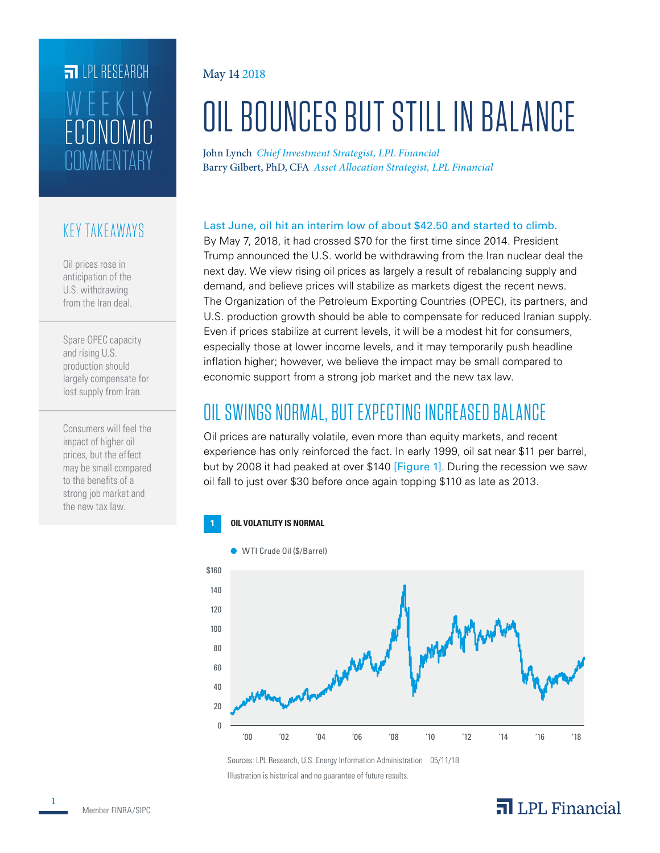# **FILLE** LPL RESEARCH TIMMENTARY ECONOMIC WEEKLY

#### KEY TAKEAWAYS

Oil prices rose in anticipation of the U.S. withdrawing from the Iran deal.

Spare OPEC capacity and rising U.S. production should largely compensate for lost supply from Iran.

Consumers will feel the impact of higher oil prices, but the effect may be small compared to the benefits of a strong job market and the new tax law.

#### May 14 2018

# OIL BOUNCES BUT STILL IN BALANCE

John Lynch *Chief Investment Strategist, LPL Financial* Barry Gilbert, PhD, CFA *Asset Allocation Strategist, LPL Financial*

#### Last June, oil hit an interim low of about \$42.50 and started to climb.

By May 7, 2018, it had crossed \$70 for the first time since 2014. President Trump announced the U.S. world be withdrawing from the Iran nuclear deal the next day. We view rising oil prices as largely a result of rebalancing supply and demand, and believe prices will stabilize as markets digest the recent news. The Organization of the Petroleum Exporting Countries (OPEC), its partners, and U.S. production growth should be able to compensate for reduced Iranian supply. Even if prices stabilize at current levels, it will be a modest hit for consumers, especially those at lower income levels, and it may temporarily push headline inflation higher; however, we believe the impact may be small compared to economic support from a strong job market and the new tax law.

### OIL SWINGS NORMAL, BUT EXPECTING INCREASED BALANCE

Oil prices are naturally volatile, even more than equity markets, and recent experience has only reinforced the fact. In early 1999, oil sat near \$11 per barrel, but by 2008 it had peaked at over \$140 [Figure 1]. During the recession we saw oil fall to just over \$30 before once again topping \$110 as late as 2013.

#### **1 OIL VOLATILITY IS NORMAL**



Sources: LPL Research, U.S. Energy Information Administration 05/11/18 Illustration is historical and no guarantee of future results.

### $\overline{\mathbf{a}}$  LPL Financial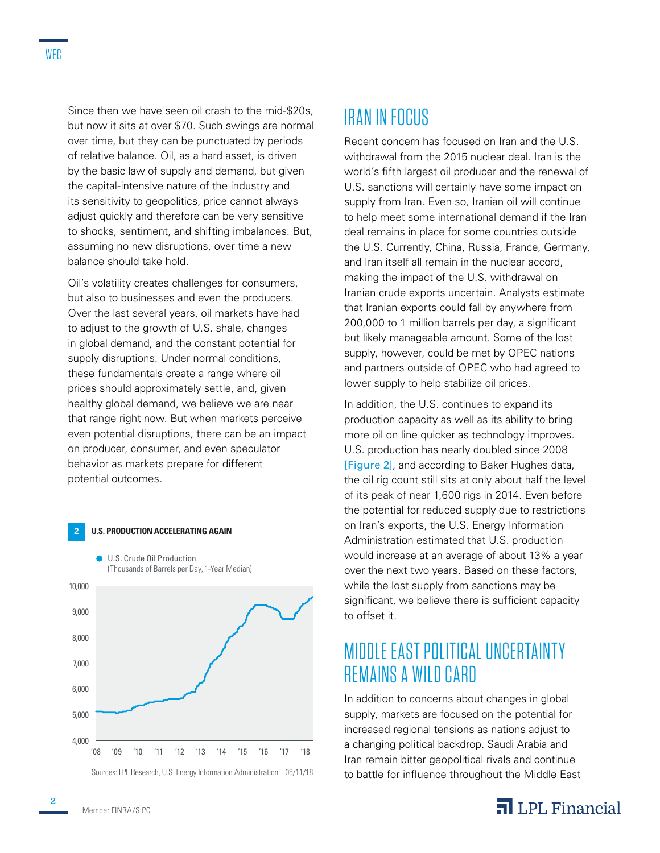Since then we have seen oil crash to the mid-\$20s, but now it sits at over \$70. Such swings are normal over time, but they can be punctuated by periods of relative balance. Oil, as a hard asset, is driven by the basic law of supply and demand, but given the capital-intensive nature of the industry and its sensitivity to geopolitics, price cannot always adjust quickly and therefore can be very sensitive to shocks, sentiment, and shifting imbalances. But, assuming no new disruptions, over time a new balance should take hold.

Oil's volatility creates challenges for consumers, but also to businesses and even the producers. Over the last several years, oil markets have had to adjust to the growth of U.S. shale, changes in global demand, and the constant potential for supply disruptions. Under normal conditions, these fundamentals create a range where oil prices should approximately settle, and, given healthy global demand, we believe we are near that range right now. But when markets perceive even potential disruptions, there can be an impact on producer, consumer, and even speculator behavior as markets prepare for different potential outcomes.



Sources: LPL Research, U.S. Energy Information Administration 05/11/18

## IRAN IN FOCUS

Recent concern has focused on Iran and the U.S. withdrawal from the 2015 nuclear deal. Iran is the world's fifth largest oil producer and the renewal of U.S. sanctions will certainly have some impact on supply from Iran. Even so, Iranian oil will continue to help meet some international demand if the Iran deal remains in place for some countries outside the U.S. Currently, China, Russia, France, Germany, and Iran itself all remain in the nuclear accord, making the impact of the U.S. withdrawal on Iranian crude exports uncertain. Analysts estimate that Iranian exports could fall by anywhere from 200,000 to 1 million barrels per day, a significant but likely manageable amount. Some of the lost supply, however, could be met by OPEC nations and partners outside of OPEC who had agreed to lower supply to help stabilize oil prices.

In addition, the U.S. continues to expand its production capacity as well as its ability to bring more oil on line quicker as technology improves. U.S. production has nearly doubled since 2008 [Figure 2], and according to Baker Hughes data, the oil rig count still sits at only about half the level of its peak of near 1,600 rigs in 2014. Even before the potential for reduced supply due to restrictions on Iran's exports, the U.S. Energy Information Administration estimated that U.S. production would increase at an average of about 13% a year over the next two years. Based on these factors, while the lost supply from sanctions may be significant, we believe there is sufficient capacity to offset it.

### MIDDLE EAST POLITICAL UNCERTAINT Y REMAINS A WILD CARD

In addition to concerns about changes in global supply, markets are focused on the potential for increased regional tensions as nations adjust to a changing political backdrop. Saudi Arabia and Iran remain bitter geopolitical rivals and continue to battle for influence throughout the Middle East



**2**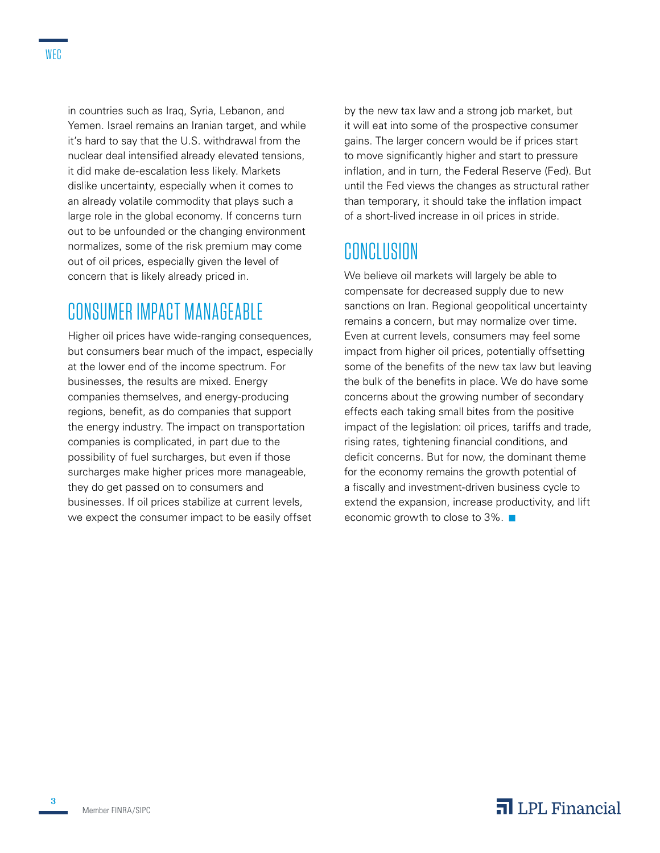in countries such as Iraq, Syria, Lebanon, and Yemen. Israel remains an Iranian target, and while it's hard to say that the U.S. withdrawal from the nuclear deal intensified already elevated tensions, it did make de-escalation less likely. Markets dislike uncertainty, especially when it comes to an already volatile commodity that plays such a large role in the global economy. If concerns turn out to be unfounded or the changing environment normalizes, some of the risk premium may come out of oil prices, especially given the level of concern that is likely already priced in.

### CONSUMER IMPACT MANAGEABLE

Higher oil prices have wide-ranging consequences, but consumers bear much of the impact, especially at the lower end of the income spectrum. For businesses, the results are mixed. Energy companies themselves, and energy-producing regions, benefit, as do companies that support the energy industry. The impact on transportation companies is complicated, in part due to the possibility of fuel surcharges, but even if those surcharges make higher prices more manageable, they do get passed on to consumers and businesses. If oil prices stabilize at current levels, we expect the consumer impact to be easily offset

by the new tax law and a strong job market, but it will eat into some of the prospective consumer gains. The larger concern would be if prices start to move significantly higher and start to pressure inflation, and in turn, the Federal Reserve (Fed). But until the Fed views the changes as structural rather than temporary, it should take the inflation impact of a short-lived increase in oil prices in stride.

#### **CONCLUSION**

We believe oil markets will largely be able to compensate for decreased supply due to new sanctions on Iran. Regional geopolitical uncertainty remains a concern, but may normalize over time. Even at current levels, consumers may feel some impact from higher oil prices, potentially offsetting some of the benefits of the new tax law but leaving the bulk of the benefits in place. We do have some concerns about the growing number of secondary effects each taking small bites from the positive impact of the legislation: oil prices, tariffs and trade, rising rates, tightening financial conditions, and deficit concerns. But for now, the dominant theme for the economy remains the growth potential of a fiscally and investment-driven business cycle to extend the expansion, increase productivity, and lift economic growth to close to  $3\%$ .

**3**

#### $\overline{\mathbf{a}}$  LPL Financial